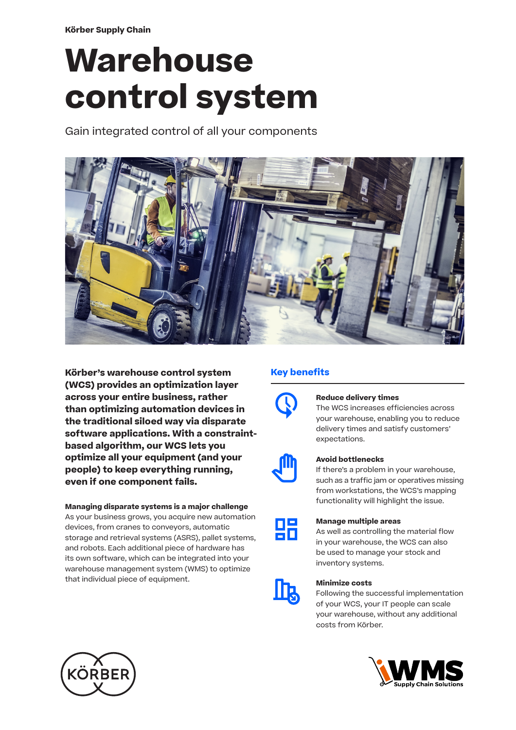**Körber Supply Chain**

# **Warehouse control system**

Gain integrated control of all your components



**Körber's warehouse control system (WCS) provides an optimization layer across your entire business, rather than optimizing automation devices in the traditional siloed way via disparate software applications. With a constraintbased algorithm, our WCS lets you optimize all your equipment (and your people) to keep everything running, even if one component fails.** 

# **Managing disparate systems is a major challenge**

As your business grows, you acquire new automation devices, from cranes to conveyors, automatic storage and retrieval systems (ASRS), pallet systems, and robots. Each additional piece of hardware has its own software, which can be integrated into your warehouse management system (WMS) to optimize that individual piece of equipment.

# **Key benefits**



# **Reduce delivery times**

The WCS increases efficiencies across your warehouse, enabling you to reduce delivery times and satisfy customers' expectations.



# **Avoid bottlenecks**

If there's a problem in your warehouse, such as a traffic jam or operatives missing from workstations, the WCS's mapping functionality will highlight the issue.

| and the state of the state of the state of the state of the state of the state of the state of the state of th                                                                                                                   | and the state of the state of the state of the state of the state of the state of the state of the state of th |
|----------------------------------------------------------------------------------------------------------------------------------------------------------------------------------------------------------------------------------|----------------------------------------------------------------------------------------------------------------|
| and the state of the state of the state of the state of the state of the state of the state of the state of th<br>and the state of the state of the state of the state of the state of the state of the state of the state of th | and the state of the state of the state of the state of the state of the state of the state of the state of th |
|                                                                                                                                                                                                                                  | and the state of the state of the state of the state of the state of the state of the state of the state of th |

### **Manage multiple areas**

As well as controlling the material flow in your warehouse, the WCS can also be used to manage your stock and inventory systems.



# **Minimize costs**

Following the successful implementation of your WCS, your IT people can scale your warehouse, without any additional costs from Körber.